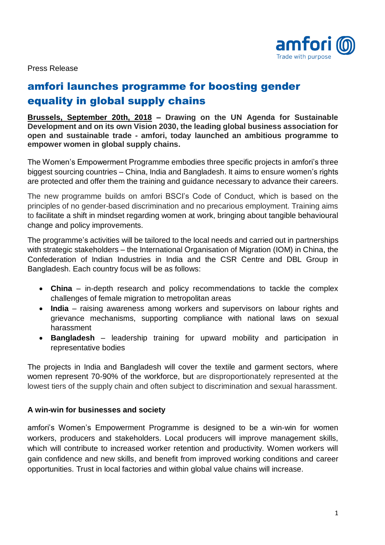

Press Release

## amfori launches programme for boosting gender equality in global supply chains

**Brussels, September 20th, 2018 – Drawing on the UN Agenda for Sustainable Development and on its own Vision 2030, the leading global business association for open and sustainable trade - amfori, today launched an ambitious programme to empower women in global supply chains.**

The Women's Empowerment Programme embodies three specific projects in amfori's three biggest sourcing countries – China, India and Bangladesh. It aims to ensure women's rights are protected and offer them the training and guidance necessary to advance their careers.

The new programme builds on amfori BSCI's Code of Conduct, which is based on the principles of no gender-based discrimination and no precarious employment. Training aims to facilitate a shift in mindset regarding women at work, bringing about tangible behavioural change and policy improvements.

The programme's activities will be tailored to the local needs and carried out in partnerships with strategic stakeholders – the International Organisation of Migration (IOM) in China, the Confederation of Indian Industries in India and the CSR Centre and DBL Group in Bangladesh. Each country focus will be as follows:

- **China** in-depth research and policy recommendations to tackle the complex challenges of female migration to metropolitan areas
- **India** raising awareness among workers and supervisors on labour rights and grievance mechanisms, supporting compliance with national laws on sexual harassment
- **Bangladesh** leadership training for upward mobility and participation in representative bodies

The projects in India and Bangladesh will cover the textile and garment sectors, where women represent 70-90% of the workforce, but are disproportionately represented at the lowest tiers of the supply chain and often subject to discrimination and sexual harassment.

## **A win-win for businesses and society**

amfori's Women's Empowerment Programme is designed to be a win-win for women workers, producers and stakeholders. Local producers will improve management skills, which will contribute to increased worker retention and productivity. Women workers will gain confidence and new skills, and benefit from improved working conditions and career opportunities. Trust in local factories and within global value chains will increase.